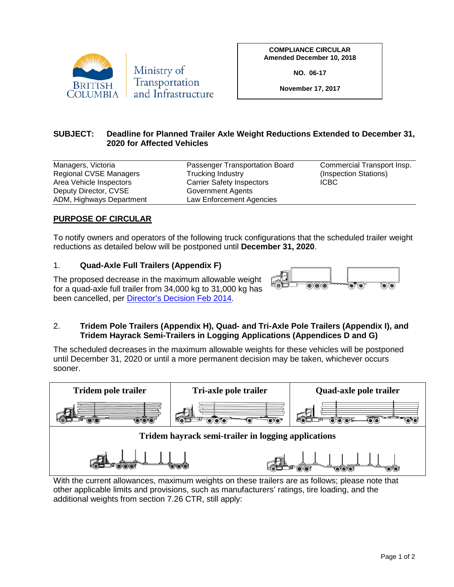

**COMPLIANCE CIRCULAR Amended December 10, 2018**

**NO. 06-17**

**November 17, 2017**

## **SUBJECT: Deadline for Planned Trailer Axle Weight Reductions Extended to December 31, 2020 for Affected Vehicles**

| Managers, Victoria            | Passenger Transportation Board   | Commercial Transport Insp. |
|-------------------------------|----------------------------------|----------------------------|
| <b>Regional CVSE Managers</b> | Trucking Industry                | (Inspection Stations)      |
| Area Vehicle Inspectors       | <b>Carrier Safety Inspectors</b> | <b>ICBC</b>                |
| Deputy Director, CVSE         | Government Agents                |                            |
| ADM, Highways Department      | Law Enforcement Agencies         |                            |

## **PURPOSE OF CIRCULAR**

To notify owners and operators of the following truck configurations that the scheduled trailer weight reductions as detailed below will be postponed until **December 31, 2020**.

## 1. **Quad-Axle Full Trailers (Appendix F)**

The proposed decrease in the maximum allowable weight for a quad-axle full trailer from 34,000 kg to 31,000 kg has been cancelled, per [Director's Decision Feb 2014.](http://www.cvse.ca/references_publications.htm)



## 2. **Tridem Pole Trailers (Appendix H), Quad- and Tri-Axle Pole Trailers (Appendix I), and Tridem Hayrack Semi-Trailers in Logging Applications (Appendices D and G)**

The scheduled decreases in the maximum allowable weights for these vehicles will be postponed until December 31, 2020 or until a more permanent decision may be taken, whichever occurs sooner.



With the current allowances, maximum weights on these trailers are as follows; please note that other applicable limits and provisions, such as manufacturers' ratings, tire loading, and the additional weights from section 7.26 CTR, still apply: